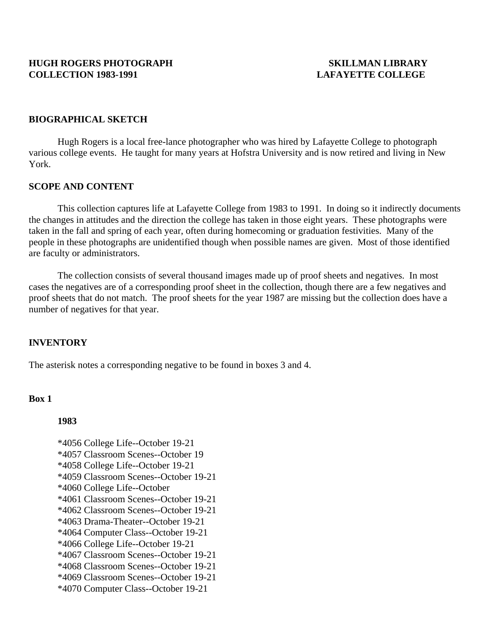### **BIOGRAPHICAL SKETCH**

 Hugh Rogers is a local free-lance photographer who was hired by Lafayette College to photograph various college events.He taught for many years at Hofstra University and is now retired and living in New York.

#### **SCOPE AND CONTENT**

 This collection captures life at Lafayette College from 1983 to 1991. In doing so it indirectly documents the changes in attitudes and the direction the college has taken in those eight years. These photographs were taken in the fall and spring of each year, often during homecoming or graduation festivities. Many of the people in these photographs are unidentified though when possible names are given. Most of those identified are faculty or administrators.

 The collection consists of several thousand images made up of proof sheets and negatives. In most cases the negatives are of a corresponding proof sheet in the collection, though there are a few negatives and proof sheets that do not match. The proof sheets for the year 1987 are missing but the collection does have a number of negatives for that year.

### **INVENTORY**

The asterisk notes a corresponding negative to be found in boxes 3 and 4.

### **Box 1**

#### **1983**

 \*4056 College Life--October 19-21 \*4057 Classroom Scenes--October 19 \*4058 College Life--October 19-21 \*4059 Classroom Scenes--October 19-21 \*4060 College Life--October \*4061 Classroom Scenes--October 19-21 \*4062 Classroom Scenes--October 19-21 \*4063 Drama-Theater--October 19-21 \*4064 Computer Class--October 19-21 \*4066 College Life--October 19-21 \*4067 Classroom Scenes--October 19-21 \*4068 Classroom Scenes--October 19-21 \*4069 Classroom Scenes--October 19-21 \*4070 Computer Class--October 19-21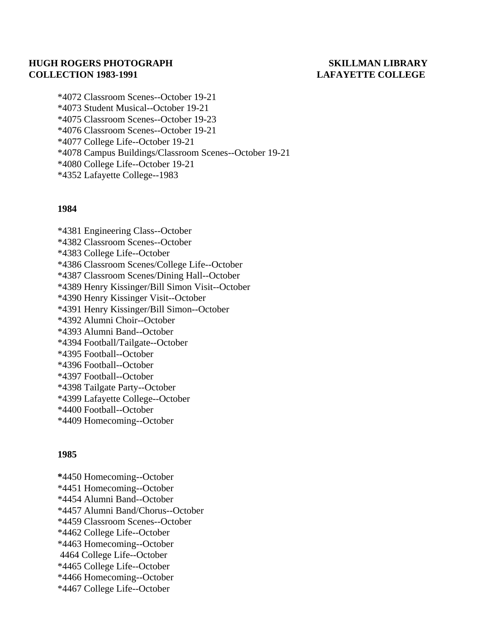# **HUGH ROGERS PHOTOGRAPH SKILLMAN LIBRARY COLLECTION 1983-1991 LAFAYETTE COLLEGE**

 \*4072 Classroom Scenes--October 19-21 \*4073 Student Musical--October 19-21 \*4075 Classroom Scenes--October 19-23 \*4076 Classroom Scenes--October 19-21 \*4077 College Life--October 19-21 \*4078 Campus Buildings/Classroom Scenes--October 19-21 \*4080 College Life--October 19-21 \*4352 Lafayette College--1983

### **1984**

 \*4381 Engineering Class--October \*4382 Classroom Scenes--October \*4383 College Life--October \*4386 Classroom Scenes/College Life--October \*4387 Classroom Scenes/Dining Hall--October \*4389 Henry Kissinger/Bill Simon Visit--October \*4390 Henry Kissinger Visit--October \*4391 Henry Kissinger/Bill Simon--October \*4392 Alumni Choir--October \*4393 Alumni Band--October \*4394 Football/Tailgate--October \*4395 Football--October \*4396 Football--October \*4397 Football--October \*4398 Tailgate Party--October \*4399 Lafayette College--October \*4400 Football--October \*4409 Homecoming--October

## **1985**

 **\***4450 Homecoming--October \*4451 Homecoming--October \*4454 Alumni Band--October \*4457 Alumni Band/Chorus--October \*4459 Classroom Scenes--October \*4462 College Life--October \*4463 Homecoming--October 4464 College Life--October \*4465 College Life--October \*4466 Homecoming--October \*4467 College Life--October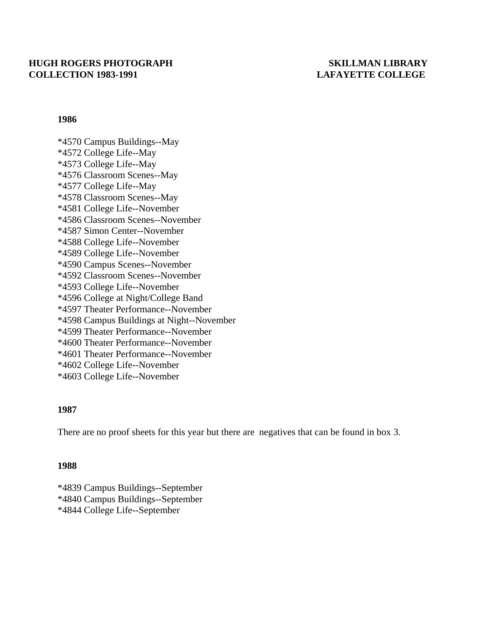## **HUGH ROGERS PHOTOGRAPH SKILLMAN LIBRARY COLLECTION 1983-1991 LAFAYETTE COLLEGE**

### **1986**

 \*4570 Campus Buildings--May \*4572 College Life--May \*4573 College Life--May \*4576 Classroom Scenes--May \*4577 College Life--May \*4578 Classroom Scenes--May \*4581 College Life--November \*4586 Classroom Scenes--November \*4587 Simon Center--November \*4588 College Life--November \*4589 College Life--November \*4590 Campus Scenes--November \*4592 Classroom Scenes--November \*4593 College Life--November \*4596 College at Night/College Band \*4597 Theater Performance--November \*4598 Campus Buildings at Night--November \*4599 Theater Performance--November \*4600 Theater Performance--November \*4601 Theater Performance--November \*4602 College Life--November \*4603 College Life--November

### **1987**

There are no proof sheets for this year but there are negatives that can be found in box 3.

### **1988**

 \*4839 Campus Buildings--September \*4840 Campus Buildings--September \*4844 College Life--September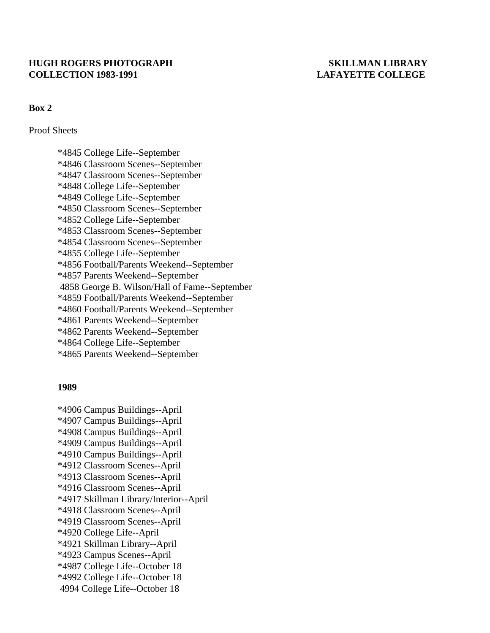## **HUGH ROGERS PHOTOGRAPH SKILLMAN LIBRARY COLLECTION 1983-1991 LAFAYETTE COLLEGE**

## **Box 2**

Proof Sheets

 \*4845 College Life--September \*4846 Classroom Scenes--September \*4847 Classroom Scenes--September \*4848 College Life--September \*4849 College Life--September \*4850 Classroom Scenes--September \*4852 College Life--September \*4853 Classroom Scenes--September \*4854 Classroom Scenes--September \*4855 College Life--September \*4856 Football/Parents Weekend--September \*4857 Parents Weekend--September 4858 George B. Wilson/Hall of Fame--September \*4859 Football/Parents Weekend--September \*4860 Football/Parents Weekend--September \*4861 Parents Weekend--September \*4862 Parents Weekend--September \*4864 College Life--September \*4865 Parents Weekend--September

### **1989**

 \*4906 Campus Buildings--April \*4907 Campus Buildings--April \*4908 Campus Buildings--April \*4909 Campus Buildings--April \*4910 Campus Buildings--April \*4912 Classroom Scenes--April \*4913 Classroom Scenes--April \*4916 Classroom Scenes--April \*4917 Skillman Library/Interior--April \*4918 Classroom Scenes--April \*4919 Classroom Scenes--April \*4920 College Life--April \*4921 Skillman Library--April \*4923 Campus Scenes--April \*4987 College Life--October 18 \*4992 College Life--October 18 4994 College Life--October 18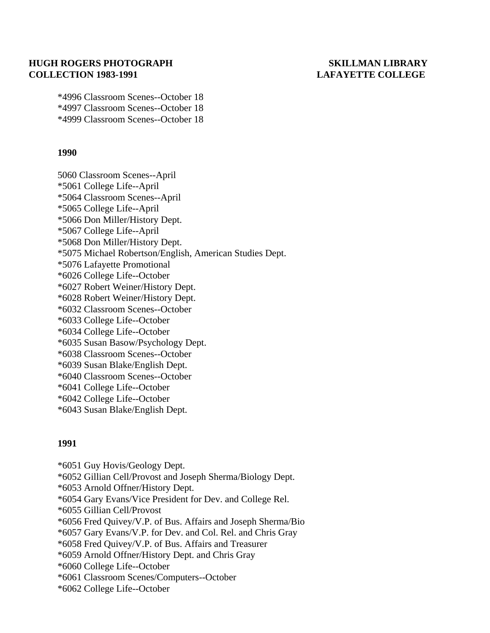## **HUGH ROGERS PHOTOGRAPH SKILLMAN LIBRARY COLLECTION 1983-1991 LAFAYETTE COLLEGE**

 \*4996 Classroom Scenes--October 18 \*4997 Classroom Scenes--October 18 \*4999 Classroom Scenes--October 18

## **1990**

 5060 Classroom Scenes--April \*5061 College Life--April \*5064 Classroom Scenes--April \*5065 College Life--April \*5066 Don Miller/History Dept. \*5067 College Life--April \*5068 Don Miller/History Dept. \*5075 Michael Robertson/English, American Studies Dept. \*5076 Lafayette Promotional \*6026 College Life--October \*6027 Robert Weiner/History Dept. \*6028 Robert Weiner/History Dept. \*6032 Classroom Scenes--October \*6033 College Life--October \*6034 College Life--October \*6035 Susan Basow/Psychology Dept. \*6038 Classroom Scenes--October \*6039 Susan Blake/English Dept. \*6040 Classroom Scenes--October \*6041 College Life--October \*6042 College Life--October \*6043 Susan Blake/English Dept.

## **1991**

- \*6051 Guy Hovis/Geology Dept.
- \*6052 Gillian Cell/Provost and Joseph Sherma/Biology Dept.
- \*6053 Arnold Offner/History Dept.
- \*6054 Gary Evans/Vice President for Dev. and College Rel.
- \*6055 Gillian Cell/Provost
- \*6056 Fred Quivey/V.P. of Bus. Affairs and Joseph Sherma/Bio
- \*6057 Gary Evans/V.P. for Dev. and Col. Rel. and Chris Gray
- \*6058 Fred Quivey/V.P. of Bus. Affairs and Treasurer
- \*6059 Arnold Offner/History Dept. and Chris Gray
- \*6060 College Life--October
- \*6061 Classroom Scenes/Computers--October
- \*6062 College Life--October